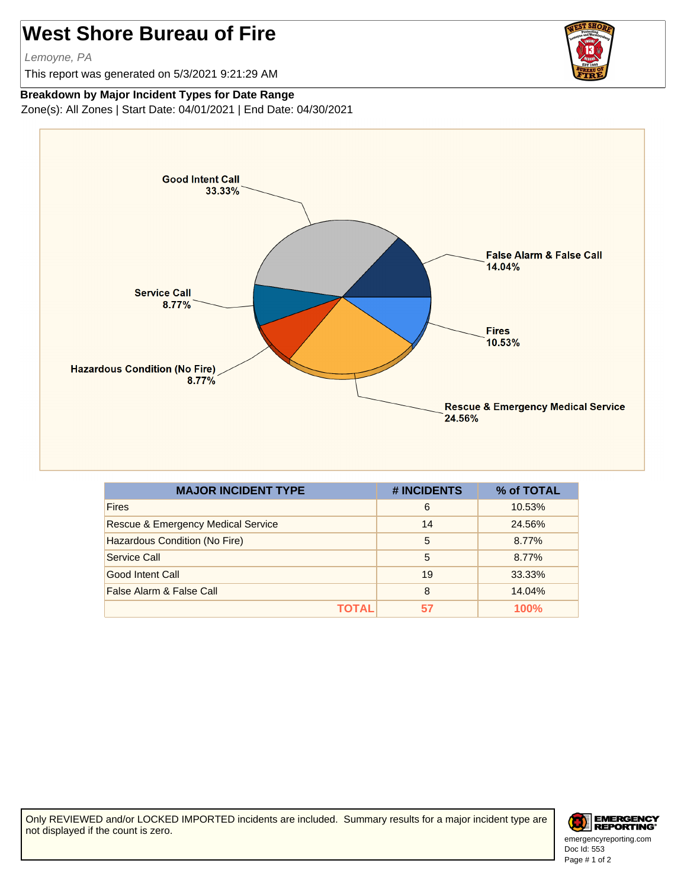## **West Shore Bureau of Fire**

Lemoyne, PA

This report was generated on 5/3/2021 9:21:29 AM



## **Breakdown by Major Incident Types for Date Range**

Zone(s): All Zones | Start Date: 04/01/2021 | End Date: 04/30/2021



| <b>MAJOR INCIDENT TYPE</b>                    | # INCIDENTS | % of TOTAL |
|-----------------------------------------------|-------------|------------|
| <b>Fires</b>                                  | 6           | 10.53%     |
| <b>Rescue &amp; Emergency Medical Service</b> | 14          | 24.56%     |
| Hazardous Condition (No Fire)                 | 5           | 8.77%      |
| Service Call                                  | 5           | 8.77%      |
| Good Intent Call                              | 19          | 33.33%     |
| False Alarm & False Call                      | 8           | 14.04%     |
| ΤΟΤΑL                                         | 57          | 100%       |

Only REVIEWED and/or LOCKED IMPORTED incidents are included. Summary results for a major incident type are not displayed if the count is zero.



Doc Id: 553 emergencyreporting.com Page # 1 of 2